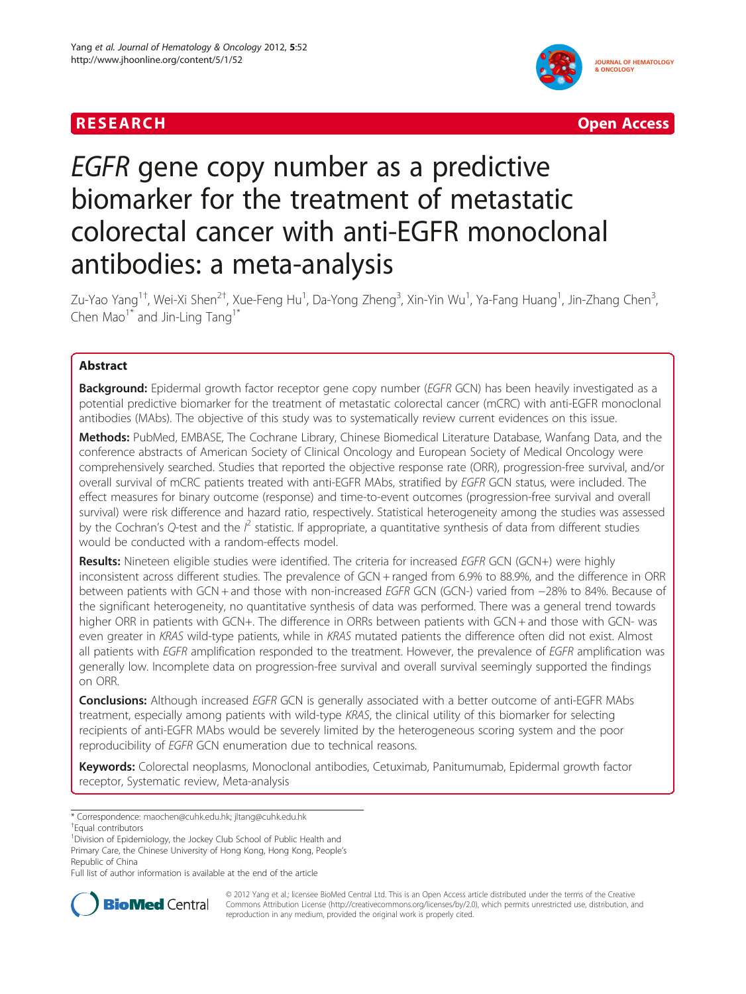



# EGFR gene copy number as a predictive biomarker for the treatment of metastatic colorectal cancer with anti-EGFR monoclonal antibodies: a meta-analysis

Zu-Yao Yang<sup>1†</sup>, Wei-Xi Shen<sup>2†</sup>, Xue-Feng Hu<sup>1</sup>, Da-Yong Zheng<sup>3</sup>, Xin-Yin Wu<sup>1</sup>, Ya-Fang Huang<sup>1</sup>, Jin-Zhang Chen<sup>3</sup> , Chen Mao<sup>1\*</sup> and Jin-Ling Tang<sup>1\*</sup>

# Abstract

Background: Epidermal growth factor receptor gene copy number (EGFR GCN) has been heavily investigated as a potential predictive biomarker for the treatment of metastatic colorectal cancer (mCRC) with anti-EGFR monoclonal antibodies (MAbs). The objective of this study was to systematically review current evidences on this issue.

Methods: PubMed, EMBASE, The Cochrane Library, Chinese Biomedical Literature Database, Wanfang Data, and the conference abstracts of American Society of Clinical Oncology and European Society of Medical Oncology were comprehensively searched. Studies that reported the objective response rate (ORR), progression-free survival, and/or overall survival of mCRC patients treated with anti-EGFR MAbs, stratified by EGFR GCN status, were included. The effect measures for binary outcome (response) and time-to-event outcomes (progression-free survival and overall survival) were risk difference and hazard ratio, respectively. Statistical heterogeneity among the studies was assessed by the Cochran's Q-test and the  $l^2$  statistic. If appropriate, a quantitative synthesis of data from different studies would be conducted with a random-effects model.

Results: Nineteen eligible studies were identified. The criteria for increased EGFR GCN (GCN+) were highly inconsistent across different studies. The prevalence of GCN + ranged from 6.9% to 88.9%, and the difference in ORR between patients with GCN + and those with non-increased EGFR GCN (GCN-) varied from −28% to 84%. Because of the significant heterogeneity, no quantitative synthesis of data was performed. There was a general trend towards higher ORR in patients with GCN+. The difference in ORRs between patients with GCN + and those with GCN- was even greater in KRAS wild-type patients, while in KRAS mutated patients the difference often did not exist. Almost all patients with EGFR amplification responded to the treatment. However, the prevalence of EGFR amplification was generally low. Incomplete data on progression-free survival and overall survival seemingly supported the findings on ORR.

**Conclusions:** Although increased EGFR GCN is generally associated with a better outcome of anti-EGFR MAbs treatment, especially among patients with wild-type KRAS, the clinical utility of this biomarker for selecting recipients of anti-EGFR MAbs would be severely limited by the heterogeneous scoring system and the poor reproducibility of EGFR GCN enumeration due to technical reasons.

Keywords: Colorectal neoplasms, Monoclonal antibodies, Cetuximab, Panitumumab, Epidermal growth factor receptor, Systematic review, Meta-analysis

<sup>1</sup>Division of Epidemiology, the Jockey Club School of Public Health and Primary Care, the Chinese University of Hong Kong, Hong Kong, People's

Republic of China Full list of author information is available at the end of the article



© 2012 Yang et al.; licensee BioMed Central Ltd. This is an Open Access article distributed under the terms of the Creative Commons Attribution License [\(http://creativecommons.org/licenses/by/2.0\)](http://creativecommons.org/licenses/by/2.0), which permits unrestricted use, distribution, and reproduction in any medium, provided the original work is properly cited.

<sup>\*</sup> Correspondence: [maochen@cuhk.edu.hk;](mailto:maochen@cuhk.edu.hk) [jltang@cuhk.edu.hk](mailto:jltang@cuhk.edu.hk) †

Equal contributors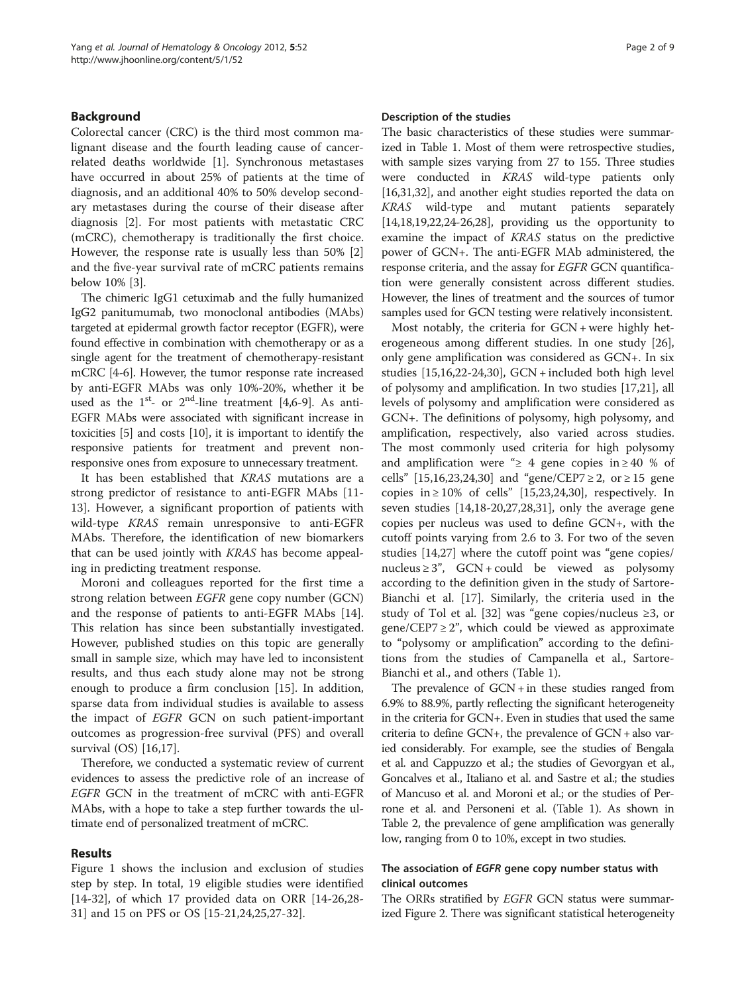# Background

Colorectal cancer (CRC) is the third most common malignant disease and the fourth leading cause of cancerrelated deaths worldwide [[1\]](#page-7-0). Synchronous metastases have occurred in about 25% of patients at the time of diagnosis, and an additional 40% to 50% develop secondary metastases during the course of their disease after diagnosis [[2\]](#page-7-0). For most patients with metastatic CRC (mCRC), chemotherapy is traditionally the first choice. However, the response rate is usually less than 50% [\[2](#page-7-0)] and the five-year survival rate of mCRC patients remains below 10% [\[3](#page-7-0)].

The chimeric IgG1 cetuximab and the fully humanized IgG2 panitumumab, two monoclonal antibodies (MAbs) targeted at epidermal growth factor receptor (EGFR), were found effective in combination with chemotherapy or as a single agent for the treatment of chemotherapy-resistant mCRC [\[4-6](#page-7-0)]. However, the tumor response rate increased by anti-EGFR MAbs was only 10%-20%, whether it be used as the  $1^{st}$ - or  $2^{nd}$ -line treatment [[4,6-](#page-7-0)[9\]](#page-8-0). As anti-EGFR MAbs were associated with significant increase in toxicities [[5](#page-7-0)] and costs [\[10\]](#page-8-0), it is important to identify the responsive patients for treatment and prevent nonresponsive ones from exposure to unnecessary treatment.

It has been established that KRAS mutations are a strong predictor of resistance to anti-EGFR MAbs [\[11-](#page-8-0) [13\]](#page-8-0). However, a significant proportion of patients with wild-type KRAS remain unresponsive to anti-EGFR MAbs. Therefore, the identification of new biomarkers that can be used jointly with KRAS has become appealing in predicting treatment response.

Moroni and colleagues reported for the first time a strong relation between EGFR gene copy number (GCN) and the response of patients to anti-EGFR MAbs [\[14](#page-8-0)]. This relation has since been substantially investigated. However, published studies on this topic are generally small in sample size, which may have led to inconsistent results, and thus each study alone may not be strong enough to produce a firm conclusion [[15](#page-8-0)]. In addition, sparse data from individual studies is available to assess the impact of EGFR GCN on such patient-important outcomes as progression-free survival (PFS) and overall survival (OS) [\[16,17](#page-8-0)].

Therefore, we conducted a systematic review of current evidences to assess the predictive role of an increase of EGFR GCN in the treatment of mCRC with anti-EGFR MAbs, with a hope to take a step further towards the ultimate end of personalized treatment of mCRC.

### Results

Figure [1](#page-2-0) shows the inclusion and exclusion of studies step by step. In total, 19 eligible studies were identified [[14-32](#page-8-0)], of which 17 provided data on ORR [[14-26,28-](#page-8-0) [31\]](#page-8-0) and 15 on PFS or OS [[15-21,24,25,27-32](#page-8-0)].

#### Description of the studies

The basic characteristics of these studies were summarized in Table [1.](#page-3-0) Most of them were retrospective studies, with sample sizes varying from 27 to 155. Three studies were conducted in KRAS wild-type patients only [[16,31,32\]](#page-8-0), and another eight studies reported the data on KRAS wild-type and mutant patients separately [[14,18,19,22](#page-8-0),[24](#page-8-0)-[26,28\]](#page-8-0), providing us the opportunity to examine the impact of KRAS status on the predictive power of GCN+. The anti-EGFR MAb administered, the response criteria, and the assay for EGFR GCN quantification were generally consistent across different studies. However, the lines of treatment and the sources of tumor samples used for GCN testing were relatively inconsistent.

Most notably, the criteria for GCN + were highly heterogeneous among different studies. In one study [\[26](#page-8-0)], only gene amplification was considered as GCN+. In six studies [[15](#page-8-0),[16](#page-8-0),[22](#page-8-0)-[24,30\]](#page-8-0), GCN + included both high level of polysomy and amplification. In two studies [[17,21\]](#page-8-0), all levels of polysomy and amplification were considered as GCN+. The definitions of polysomy, high polysomy, and amplification, respectively, also varied across studies. The most commonly used criteria for high polysomy and amplification were " $\geq$  4 gene copies in  $\geq$  40 % of cells" [[15,16,23](#page-8-0),[24](#page-8-0),[30](#page-8-0)] and "gene/CEP7 ≥ 2, or ≥ 15 gene copies in  $\geq 10\%$  of cells" [\[15,23,24,30\]](#page-8-0), respectively. In seven studies [[14](#page-8-0),[18-20,27,28,31\]](#page-8-0), only the average gene copies per nucleus was used to define GCN+, with the cutoff points varying from 2.6 to 3. For two of the seven studies [[14](#page-8-0),[27](#page-8-0)] where the cutoff point was "gene copies/ nucleus  $\geq 3$ ", GCN + could be viewed as polysomy according to the definition given in the study of Sartore-Bianchi et al. [\[17](#page-8-0)]. Similarly, the criteria used in the study of Tol et al. [\[32](#page-8-0)] was "gene copies/nucleus ≥3, or gene/CEP7  $\geq$  2", which could be viewed as approximate to "polysomy or amplification" according to the definitions from the studies of Campanella et al., Sartore-Bianchi et al., and others (Table [1](#page-3-0)).

The prevalence of  $GCN + in$  these studies ranged from 6.9% to 88.9%, partly reflecting the significant heterogeneity in the criteria for GCN+. Even in studies that used the same criteria to define GCN+, the prevalence of GCN + also varied considerably. For example, see the studies of Bengala et al. and Cappuzzo et al.; the studies of Gevorgyan et al., Goncalves et al., Italiano et al. and Sastre et al.; the studies of Mancuso et al. and Moroni et al.; or the studies of Perrone et al. and Personeni et al. (Table [1](#page-3-0)). As shown in Table [2,](#page-4-0) the prevalence of gene amplification was generally low, ranging from 0 to 10%, except in two studies.

# The association of EGFR gene copy number status with clinical outcomes

The ORRs stratified by EGFR GCN status were summarized Figure [2](#page-5-0). There was significant statistical heterogeneity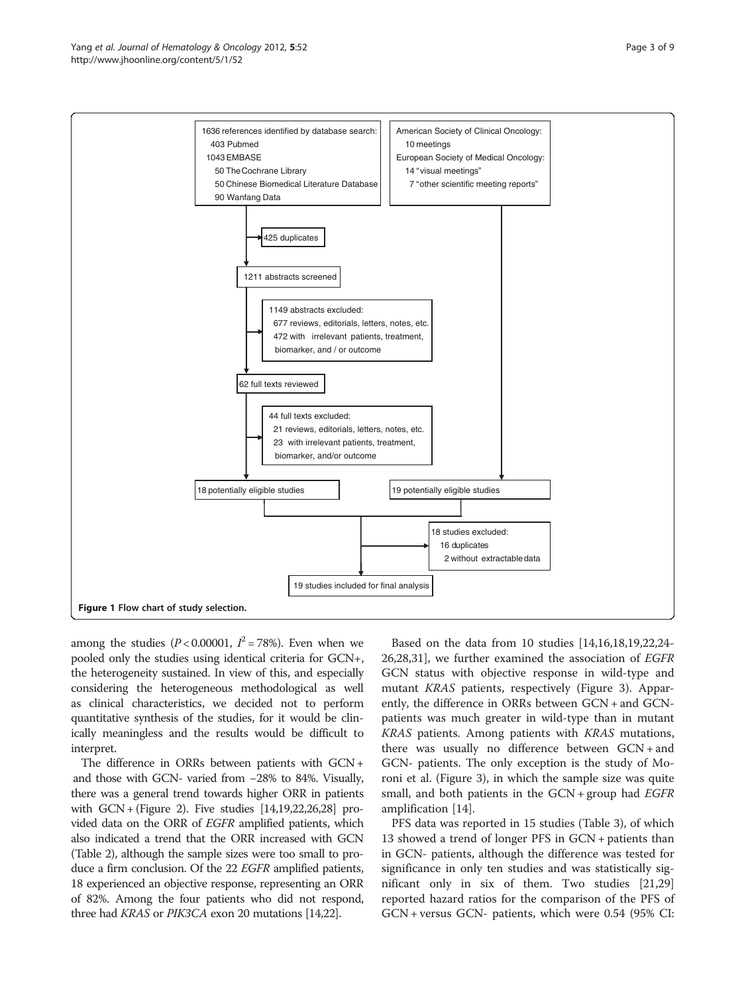<span id="page-2-0"></span>

among the studies ( $P < 0.00001$ ,  $I^2 = 78\%$ ). Even when we pooled only the studies using identical criteria for GCN+, the heterogeneity sustained. In view of this, and especially considering the heterogeneous methodological as well as clinical characteristics, we decided not to perform quantitative synthesis of the studies, for it would be clinically meaningless and the results would be difficult to interpret.

The difference in ORRs between patients with GCN + and those with GCN- varied from −28% to 84%. Visually, there was a general trend towards higher ORR in patients with GCN + (Figure [2\)](#page-5-0). Five studies [[14,19,22,26,28\]](#page-8-0) provided data on the ORR of EGFR amplified patients, which also indicated a trend that the ORR increased with GCN (Table [2\)](#page-4-0), although the sample sizes were too small to produce a firm conclusion. Of the 22 EGFR amplified patients, 18 experienced an objective response, representing an ORR of 82%. Among the four patients who did not respond, three had KRAS or PIK3CA exon 20 mutations [[14,22\]](#page-8-0).

Based on the data from 10 studies [\[14,16,18,19,22,24-](#page-8-0) [26,28](#page-8-0),[31](#page-8-0)], we further examined the association of EGFR GCN status with objective response in wild-type and mutant KRAS patients, respectively (Figure [3](#page-5-0)). Apparently, the difference in ORRs between GCN + and GCNpatients was much greater in wild-type than in mutant KRAS patients. Among patients with KRAS mutations, there was usually no difference between GCN + and GCN- patients. The only exception is the study of Moroni et al. (Figure [3](#page-5-0)), in which the sample size was quite small, and both patients in the  $GCN + group$  had  $EGFR$ amplification [\[14\]](#page-8-0).

PFS data was reported in 15 studies (Table [3](#page-6-0)), of which 13 showed a trend of longer PFS in GCN + patients than in GCN- patients, although the difference was tested for significance in only ten studies and was statistically significant only in six of them. Two studies [[21](#page-8-0),[29](#page-8-0)] reported hazard ratios for the comparison of the PFS of GCN + versus GCN- patients, which were 0.54 (95% CI: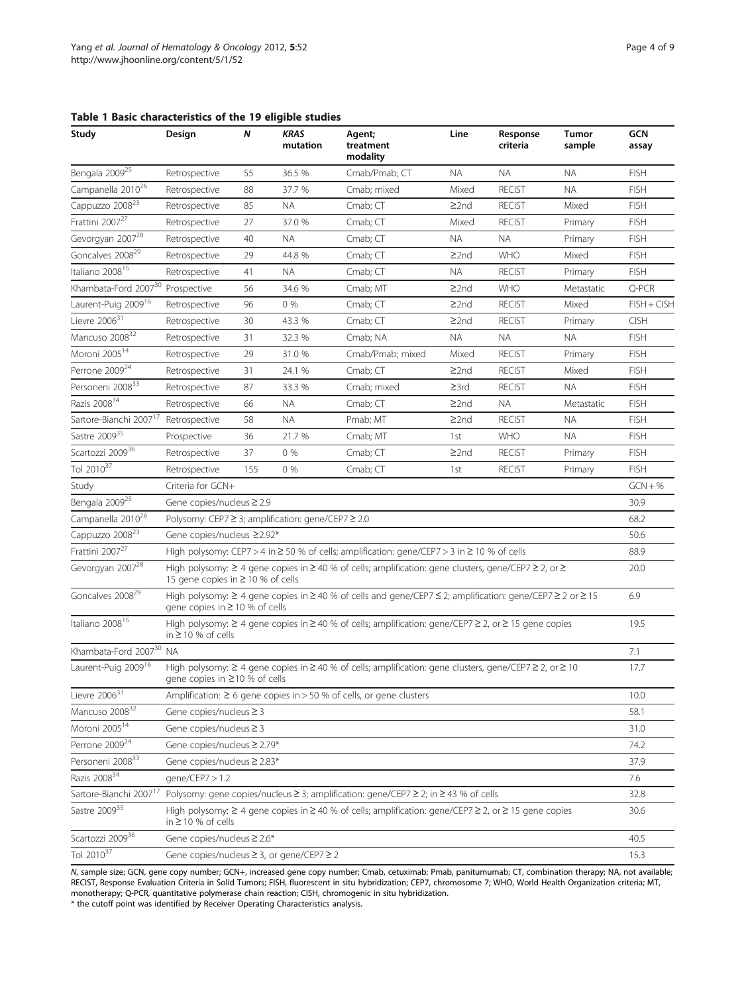<span id="page-3-0"></span>

|  |  |  | Table 1 Basic characteristics of the 19 eligible studies |  |  |  |  |  |
|--|--|--|----------------------------------------------------------|--|--|--|--|--|
|--|--|--|----------------------------------------------------------|--|--|--|--|--|

| Study                                        | Design                                                                                                                                                                 | N   | <b>KRAS</b><br>mutation | Agent;<br>treatment<br>modality                                                                                           | Line       | Response<br>criteria | Tumor<br>sample | <b>GCN</b><br>assay |  |  |  |
|----------------------------------------------|------------------------------------------------------------------------------------------------------------------------------------------------------------------------|-----|-------------------------|---------------------------------------------------------------------------------------------------------------------------|------------|----------------------|-----------------|---------------------|--|--|--|
| Bengala 2009 <sup>25</sup>                   | Retrospective                                                                                                                                                          | 55  | 36.5 %                  | Cmab/Pmab; CT                                                                                                             | <b>NA</b>  | <b>NA</b>            | <b>NA</b>       | <b>FISH</b>         |  |  |  |
| Campanella 2010 <sup>26</sup>                | Retrospective                                                                                                                                                          | 88  | 37.7 %                  | Cmab; mixed                                                                                                               | Mixed      | <b>RECIST</b>        | <b>NA</b>       | <b>FISH</b>         |  |  |  |
| Cappuzzo 2008 <sup>23</sup>                  | Retrospective                                                                                                                                                          | 85  | ΝA                      | Cmab; CT                                                                                                                  | $\geq$ 2nd | <b>RECIST</b>        | Mixed           | <b>FISH</b>         |  |  |  |
| Frattini 2007 <sup>27</sup>                  | Retrospective                                                                                                                                                          | 27  | 37.0 %                  | $Cmab;$ $CT$                                                                                                              | Mixed      | <b>RECIST</b>        | Primary         | <b>FISH</b>         |  |  |  |
| Gevorgyan 2007 <sup>28</sup>                 | Retrospective                                                                                                                                                          | 40  | <b>NA</b>               | Cmab; CT                                                                                                                  | <b>NA</b>  | <b>NA</b>            | Primary         | <b>FISH</b>         |  |  |  |
| Goncalves 2008 <sup>29</sup>                 | Retrospective                                                                                                                                                          | 29  | 44.8 %                  | Cmab: CT                                                                                                                  | $\geq$ 2nd | <b>WHO</b>           | Mixed           | <b>FISH</b>         |  |  |  |
| Italiano 2008 <sup>15</sup>                  | Retrospective                                                                                                                                                          | 41  | ΝA                      | Cmab; CT                                                                                                                  | <b>NA</b>  | <b>RECIST</b>        | Primary         | <b>FISH</b>         |  |  |  |
| Khambata-Ford 2007 <sup>30</sup> Prospective |                                                                                                                                                                        | 56  | 34.6 %                  | Cmab; MT                                                                                                                  | $\geq$ 2nd | <b>WHO</b>           | Metastatic      | Q-PCR               |  |  |  |
| Laurent-Puig 2009 <sup>16</sup>              | Retrospective                                                                                                                                                          | 96  | $0\%$                   | $Cmab;$ $CT$                                                                                                              | $\geq$ 2nd | <b>RECIST</b>        | Mixed           | $FISH + CISH$       |  |  |  |
| Lievre $2006^{31}$                           | Retrospective                                                                                                                                                          | 30  | 43.3 %                  | Cmab; CT                                                                                                                  | $\geq$ 2nd | <b>RECIST</b>        | Primary         | <b>CISH</b>         |  |  |  |
| Mancuso 2008 <sup>32</sup>                   | Retrospective                                                                                                                                                          | 31  | 32.3 %                  | Cmab; NA                                                                                                                  | <b>NA</b>  | <b>NA</b>            | <b>NA</b>       | <b>FISH</b>         |  |  |  |
| Moroni 2005 <sup>14</sup>                    | Retrospective                                                                                                                                                          | 29  | 31.0 %                  | Cmab/Pmab; mixed                                                                                                          | Mixed      | <b>RECIST</b>        | Primary         | <b>FISH</b>         |  |  |  |
| Perrone 2009 <sup>24</sup>                   | Retrospective                                                                                                                                                          | 31  | 24.1 %                  | Cmab; CT                                                                                                                  | $\geq$ 2nd | <b>RECIST</b>        | Mixed           | <b>FISH</b>         |  |  |  |
| Personeni 2008 <sup>33</sup>                 | Retrospective                                                                                                                                                          | 87  | 33.3 %                  | Cmab: mixed                                                                                                               | $\geq$ 3rd | <b>RECIST</b>        | <b>NA</b>       | <b>FISH</b>         |  |  |  |
| Razis 2008 <sup>34</sup>                     | Retrospective                                                                                                                                                          | 66  | <b>NA</b>               | Cmab; CT                                                                                                                  | $\geq$ 2nd | <b>NA</b>            | Metastatic      | <b>FISH</b>         |  |  |  |
| Sartore-Bianchi 2007 <sup>17</sup>           | Retrospective                                                                                                                                                          | 58  | <b>NA</b>               | Pmab; MT                                                                                                                  | $\geq$ 2nd | <b>RECIST</b>        | <b>NA</b>       | <b>FISH</b>         |  |  |  |
| Sastre 2009 <sup>35</sup>                    | Prospective                                                                                                                                                            | 36  | 21.7%                   | Cmab; MT                                                                                                                  | 1st        | <b>WHO</b>           | <b>NA</b>       | <b>FISH</b>         |  |  |  |
| Scartozzi 2009 <sup>36</sup>                 | Retrospective                                                                                                                                                          | 37  | $0\%$                   | Cmab; CT                                                                                                                  | $\geq$ 2nd | <b>RECIST</b>        | Primary         | <b>FISH</b>         |  |  |  |
| Tol $2010^{37}$                              | Retrospective                                                                                                                                                          | 155 | $0\%$                   | Cmab; CT                                                                                                                  | 1st        | <b>RECIST</b>        | Primary         | <b>FISH</b>         |  |  |  |
| Study                                        | Criteria for GCN+<br>$GCN + %$                                                                                                                                         |     |                         |                                                                                                                           |            |                      |                 |                     |  |  |  |
| Bengala 2009 <sup>25</sup>                   | Gene copies/nucleus ≥ 2.9<br>30.9                                                                                                                                      |     |                         |                                                                                                                           |            |                      |                 |                     |  |  |  |
| Campanella 2010 <sup>26</sup>                | Polysomy: CEP7 ≥ 3; amplification: gene/CEP7 ≥ 2.0<br>68.2                                                                                                             |     |                         |                                                                                                                           |            |                      |                 |                     |  |  |  |
| Cappuzzo 2008 <sup>23</sup>                  | Gene copies/nucleus ≥2.92*<br>50.6                                                                                                                                     |     |                         |                                                                                                                           |            |                      |                 |                     |  |  |  |
| Frattini 2007 <sup>27</sup>                  | High polysomy: CEP7 > 4 in $\geq$ 50 % of cells; amplification: gene/CEP7 > 3 in $\geq$ 10 % of cells<br>88.9                                                          |     |                         |                                                                                                                           |            |                      |                 |                     |  |  |  |
| Gevorgyan 2007 <sup>28</sup>                 | High polysomy: $\geq 4$ gene copies in $\geq 40$ % of cells; amplification: gene clusters, gene/CEP7 $\geq 2$ , or $\geq$<br>20.0<br>15 gene copies in ≥ 10 % of cells |     |                         |                                                                                                                           |            |                      |                 |                     |  |  |  |
| Goncalves 2008 <sup>29</sup>                 | High polysomy: ≥ 4 gene copies in ≥ 40 % of cells and gene/CEP7 ≤ 2; amplification: gene/CEP7 ≥ 2 or ≥ 15<br>6.9<br>aene copies in ≥ 10 % of cells                     |     |                         |                                                                                                                           |            |                      |                 |                     |  |  |  |
| Italiano 2008 <sup>15</sup>                  | High polysomy: $\geq 4$ gene copies in $\geq 40$ % of cells; amplification: gene/CEP7 $\geq 2$ , or $\geq 15$ gene copies<br>19.5<br>in $\geq$ 10 % of cells           |     |                         |                                                                                                                           |            |                      |                 |                     |  |  |  |
| Khambata-Ford 2007 <sup>30</sup> NA          |                                                                                                                                                                        |     |                         |                                                                                                                           |            |                      |                 | 7.1                 |  |  |  |
| Laurent-Puig 2009 <sup>16</sup>              | High polysomy: $\geq 4$ gene copies in $\geq 40$ % of cells; amplification: gene clusters, gene/CEP7 $\geq 2$ , or $\geq 10$<br>gene copies in ≥10 % of cells          |     |                         |                                                                                                                           |            |                      |                 |                     |  |  |  |
| Lievre $2006^{31}$                           |                                                                                                                                                                        |     |                         | Amplification: $\geq 6$ gene copies in > 50 % of cells, or gene clusters                                                  |            |                      |                 | 10.0                |  |  |  |
| Mancuso 2008 <sup>32</sup>                   | Gene copies/nucleus $\geq$ 3<br>58.1                                                                                                                                   |     |                         |                                                                                                                           |            |                      |                 |                     |  |  |  |
| Moroni 2005 <sup>14</sup>                    | Gene copies/nucleus $\geq$ 3<br>31.0                                                                                                                                   |     |                         |                                                                                                                           |            |                      |                 |                     |  |  |  |
| Perrone 2009 <sup>24</sup>                   | Gene copies/nucleus ≥ 2.79*<br>74.2                                                                                                                                    |     |                         |                                                                                                                           |            |                      |                 |                     |  |  |  |
| Personeni 2008 <sup>33</sup>                 | Gene copies/nucleus ≥ 2.83*<br>37.9                                                                                                                                    |     |                         |                                                                                                                           |            |                      |                 |                     |  |  |  |
| Razis 2008 <sup>34</sup>                     | gene/CEP7 > 1.2<br>7.6                                                                                                                                                 |     |                         |                                                                                                                           |            |                      |                 |                     |  |  |  |
| Sartore-Bianchi 2007 <sup>17</sup>           |                                                                                                                                                                        |     |                         | Polysomy: gene copies/nucleus ≥ 3; amplification: gene/CEP7 ≥ 2; in ≥ 43 % of cells                                       |            |                      |                 | 32.8                |  |  |  |
| Sastre 200935                                | in $\geq$ 10 % of cells                                                                                                                                                |     |                         | High polysomy: $\geq 4$ gene copies in $\geq 40$ % of cells; amplification: gene/CEP7 $\geq 2$ , or $\geq 15$ gene copies |            |                      |                 | 30.6                |  |  |  |
| Scartozzi 2009 <sup>36</sup>                 | Gene copies/nucleus ≥ 2.6*                                                                                                                                             |     |                         |                                                                                                                           |            |                      |                 | 40.5                |  |  |  |
| Tol 2010 <sup>37</sup>                       | Gene copies/nucleus ≥ 3, or gene/CEP7 ≥ 2                                                                                                                              |     |                         |                                                                                                                           |            |                      |                 | 15.3                |  |  |  |

N, sample size; GCN, gene copy number; GCN+, increased gene copy number; Cmab, cetuximab; Pmab, panitumumab; CT, combination therapy; NA, not available;<br>RECIST, Response Evaluation Criteria in Solid Tumors; FISH, fluoresce monotherapy; Q-PCR, quantitative polymerase chain reaction; CISH, chromogenic in situ hybridization.

\* the cutoff point was identified by Receiver Operating Characteristics analysis.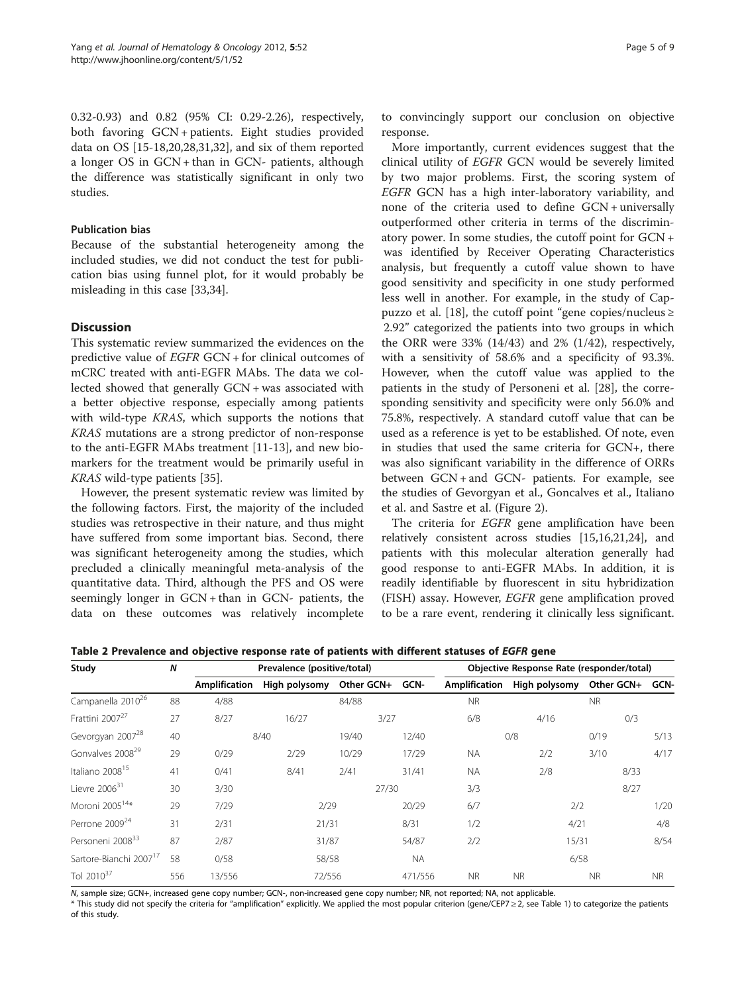<span id="page-4-0"></span>0.32-0.93) and 0.82 (95% CI: 0.29-2.26), respectively, both favoring GCN + patients. Eight studies provided data on OS [\[15-18](#page-8-0),[20,28,31,32](#page-8-0)], and six of them reported a longer OS in GCN + than in GCN- patients, although the difference was statistically significant in only two studies.

# Publication bias

Because of the substantial heterogeneity among the included studies, we did not conduct the test for publication bias using funnel plot, for it would probably be misleading in this case [\[33,34](#page-8-0)].

# **Discussion**

This systematic review summarized the evidences on the predictive value of EGFR GCN + for clinical outcomes of mCRC treated with anti-EGFR MAbs. The data we collected showed that generally GCN + was associated with a better objective response, especially among patients with wild-type KRAS, which supports the notions that KRAS mutations are a strong predictor of non-response to the anti-EGFR MAbs treatment [[11-13\]](#page-8-0), and new biomarkers for the treatment would be primarily useful in KRAS wild-type patients [[35\]](#page-8-0).

However, the present systematic review was limited by the following factors. First, the majority of the included studies was retrospective in their nature, and thus might have suffered from some important bias. Second, there was significant heterogeneity among the studies, which precluded a clinically meaningful meta-analysis of the quantitative data. Third, although the PFS and OS were seemingly longer in GCN + than in GCN- patients, the data on these outcomes was relatively incomplete

to convincingly support our conclusion on objective response.

More importantly, current evidences suggest that the clinical utility of EGFR GCN would be severely limited by two major problems. First, the scoring system of EGFR GCN has a high inter-laboratory variability, and none of the criteria used to define GCN + universally outperformed other criteria in terms of the discriminatory power. In some studies, the cutoff point for GCN + was identified by Receiver Operating Characteristics analysis, but frequently a cutoff value shown to have good sensitivity and specificity in one study performed less well in another. For example, in the study of Cappuzzo et al. [[18\]](#page-8-0), the cutoff point "gene copies/nucleus ≥ 2.92" categorized the patients into two groups in which the ORR were  $33\%$  (14/43) and  $2\%$  (1/42), respectively, with a sensitivity of 58.6% and a specificity of 93.3%. However, when the cutoff value was applied to the patients in the study of Personeni et al. [\[28\]](#page-8-0), the corresponding sensitivity and specificity were only 56.0% and 75.8%, respectively. A standard cutoff value that can be used as a reference is yet to be established. Of note, even in studies that used the same criteria for GCN+, there was also significant variability in the difference of ORRs between GCN + and GCN- patients. For example, see the studies of Gevorgyan et al., Goncalves et al., Italiano et al. and Sastre et al. (Figure [2](#page-5-0)).

The criteria for *EGFR* gene amplification have been relatively consistent across studies [[15,16,21,24\]](#page-8-0), and patients with this molecular alteration generally had good response to anti-EGFR MAbs. In addition, it is readily identifiable by fluorescent in situ hybridization (FISH) assay. However, EGFR gene amplification proved to be a rare event, rendering it clinically less significant.

Table 2 Prevalence and objective response rate of patients with different statuses of EGFR gene

| Study                              | $\boldsymbol{N}$ |               | Prevalence (positive/total) |            | Objective Response Rate (responder/total) |               |               |                 |           |  |
|------------------------------------|------------------|---------------|-----------------------------|------------|-------------------------------------------|---------------|---------------|-----------------|-----------|--|
|                                    |                  | Amplification | High polysomy               | Other GCN+ | GCN-                                      | Amplification | High polysomy | Other GCN+ GCN- |           |  |
| Campanella 2010 <sup>26</sup>      | 88               | 4/88          |                             | 84/88      |                                           | <b>NR</b>     |               | <b>NR</b>       |           |  |
| Frattini 2007 <sup>27</sup>        | 27               | 8/27          | 16/27                       | 3/27       |                                           | 6/8           | 4/16          | 0/3             |           |  |
| Gevorgyan 2007 <sup>28</sup>       | 40               |               | 8/40                        | 19/40      | 12/40                                     |               | 0/8           | 0/19            | 5/13      |  |
| Gonvalves 2008 <sup>29</sup>       | 29               | 0/29          | 2/29                        | 10/29      | 17/29                                     | <b>NA</b>     | 2/2           | 3/10            | 4/17      |  |
| Italiano 2008 <sup>15</sup>        | 41               | 0/41          | 8/41                        | 2/41       | 31/41                                     | <b>NA</b>     | 2/8           | 8/33            |           |  |
| Lievre $2006^{31}$                 | 30               | 3/30          |                             | 27/30      |                                           | 3/3           |               | 8/27            |           |  |
| Moroni 2005 <sup>14*</sup>         | 29               | 7/29          | 2/29                        |            | 20/29                                     | 6/7           | 2/2           |                 | 1/20      |  |
| Perrone 2009 <sup>24</sup>         | 31               | 2/31          | 21/31                       |            | 8/31                                      | 1/2           | 4/21          |                 | 4/8       |  |
| Personeni 2008 <sup>33</sup>       | 87               | 2/87          | 31/87                       |            | 54/87                                     | 2/2           | 15/31         |                 | 8/54      |  |
| Sartore-Bianchi 2007 <sup>17</sup> | 58               | 0/58          | 58/58                       |            | <b>NA</b>                                 |               | 6/58          |                 |           |  |
| Tol $2010^{37}$                    | 556              | 13/556        | 72/556                      |            | 471/556                                   | <b>NR</b>     | <b>NR</b>     | <b>NR</b>       | <b>NR</b> |  |

N, sample size; GCN+, increased gene copy number; GCN-, non-increased gene copy number; NR, not reported; NA, not applicable.

\* This study did not specify the criteria for "amplification" explicitly. We applied the most popular criterion (gene/CEP7 ≥ 2, see Table [1\)](#page-3-0) to categorize the patients of this study.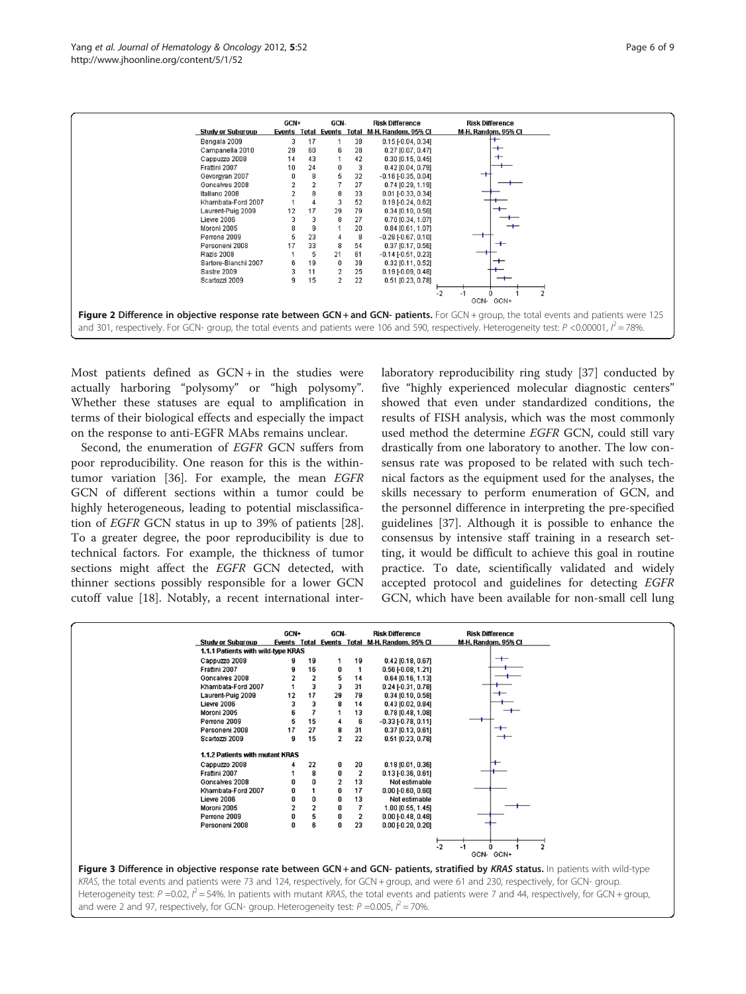<span id="page-5-0"></span>

Most patients defined as  $GCN + in$  the studies were actually harboring "polysomy" or "high polysomy". Whether these statuses are equal to amplification in terms of their biological effects and especially the impact on the response to anti-EGFR MAbs remains unclear.

Second, the enumeration of EGFR GCN suffers from poor reproducibility. One reason for this is the withintumor variation [\[36](#page-8-0)]. For example, the mean EGFR GCN of different sections within a tumor could be highly heterogeneous, leading to potential misclassification of EGFR GCN status in up to 39% of patients [\[28](#page-8-0)]. To a greater degree, the poor reproducibility is due to technical factors. For example, the thickness of tumor sections might affect the EGFR GCN detected, with thinner sections possibly responsible for a lower GCN cutoff value [[18\]](#page-8-0). Notably, a recent international interlaboratory reproducibility ring study [[37\]](#page-8-0) conducted by five "highly experienced molecular diagnostic centers" showed that even under standardized conditions, the results of FISH analysis, which was the most commonly used method the determine EGFR GCN, could still vary drastically from one laboratory to another. The low consensus rate was proposed to be related with such technical factors as the equipment used for the analyses, the skills necessary to perform enumeration of GCN, and the personnel difference in interpreting the pre-specified guidelines [\[37](#page-8-0)]. Although it is possible to enhance the consensus by intensive staff training in a research setting, it would be difficult to achieve this goal in routine practice. To date, scientifically validated and widely accepted protocol and guidelines for detecting EGFR GCN, which have been available for non-small cell lung

| GCN+<br>GCN-<br><b>Risk Difference</b><br><b>Risk Difference</b><br>Events Total Events Total M-H, Random, 95% CI<br><b>Study or Subgroup</b><br>M-H, Random, 95% CI<br>1.1.1 Patients with wild-type KRAS<br>$^+$<br>Cappuzzo 2008<br>19<br>$0.42$ [0.18, 0.67]<br>19<br>16<br>Frattini 2007<br>$\mathbf{1}$<br>$0.56$ [-0.08, 1.21]<br>0<br>Goncalves 2008<br>14<br>$0.64$ [0.16, 1.13]<br>3<br>31<br>3<br>Khambata-Ford 2007<br>$0.24$ [ $-0.31$ , $0.78$ ]<br>17<br>29<br>79<br>Laurent-Puig 2009<br>12<br>$0.34$ [0.10, 0.58]<br>14<br>3<br>8<br>Lievre 2006<br>$0.43$ [0.02, 0.84]<br>7<br>Moroni 2005<br>13<br>$0.78$ [0.48, 1.08]<br>15<br>6<br>Perrone 2009<br>$-0.33$ [ $-0.78$ , $0.11$ ]<br>27<br>31<br>╼<br>Personeni 2008<br>$0.37$ [0.13, 0.61]<br>$^{\mathrm{+}}$<br>15<br>$\overline{a}$<br>22<br>g<br>Scartozzi 2009<br>$0.51$ [0.23, 0.78]<br>1.1.2 Patients with mutant KRAS<br>Cappuzzo 2008<br>22<br>20<br>$0.18$ [0.01, 0.36]<br>0<br>8<br>$\overline{2}$<br>Frattini 2007<br>$0.13$ [ $-0.36$ , $0.61$ ]<br>0<br>13<br>Goncalves 2008<br>U<br>Not estimable<br>17<br>Khambata-Ford 2007<br>o<br>$0.00$ [ $-0.60, 0.60$ ]<br>0<br>13<br>Lievre 2006<br>0<br>Not estimable<br>2<br>$\overline{\mathbf{z}}$<br>0<br>Moroni 2005<br>1.00 [0.55, 1.45]<br>5<br>$\overline{2}$<br>Perrone 2009<br>$0.00$ [ $-0.48$ , $0.48$ ]<br>6<br>23<br>U<br>Personeni 2008<br>U<br>$0.00$ [-0.20, 0.20] |  |  |  |  |  |  |  |  |  |  |
|----------------------------------------------------------------------------------------------------------------------------------------------------------------------------------------------------------------------------------------------------------------------------------------------------------------------------------------------------------------------------------------------------------------------------------------------------------------------------------------------------------------------------------------------------------------------------------------------------------------------------------------------------------------------------------------------------------------------------------------------------------------------------------------------------------------------------------------------------------------------------------------------------------------------------------------------------------------------------------------------------------------------------------------------------------------------------------------------------------------------------------------------------------------------------------------------------------------------------------------------------------------------------------------------------------------------------------------------------------------------------------------------------------------|--|--|--|--|--|--|--|--|--|--|
|                                                                                                                                                                                                                                                                                                                                                                                                                                                                                                                                                                                                                                                                                                                                                                                                                                                                                                                                                                                                                                                                                                                                                                                                                                                                                                                                                                                                                |  |  |  |  |  |  |  |  |  |  |
|                                                                                                                                                                                                                                                                                                                                                                                                                                                                                                                                                                                                                                                                                                                                                                                                                                                                                                                                                                                                                                                                                                                                                                                                                                                                                                                                                                                                                |  |  |  |  |  |  |  |  |  |  |
|                                                                                                                                                                                                                                                                                                                                                                                                                                                                                                                                                                                                                                                                                                                                                                                                                                                                                                                                                                                                                                                                                                                                                                                                                                                                                                                                                                                                                |  |  |  |  |  |  |  |  |  |  |
|                                                                                                                                                                                                                                                                                                                                                                                                                                                                                                                                                                                                                                                                                                                                                                                                                                                                                                                                                                                                                                                                                                                                                                                                                                                                                                                                                                                                                |  |  |  |  |  |  |  |  |  |  |
|                                                                                                                                                                                                                                                                                                                                                                                                                                                                                                                                                                                                                                                                                                                                                                                                                                                                                                                                                                                                                                                                                                                                                                                                                                                                                                                                                                                                                |  |  |  |  |  |  |  |  |  |  |
|                                                                                                                                                                                                                                                                                                                                                                                                                                                                                                                                                                                                                                                                                                                                                                                                                                                                                                                                                                                                                                                                                                                                                                                                                                                                                                                                                                                                                |  |  |  |  |  |  |  |  |  |  |
|                                                                                                                                                                                                                                                                                                                                                                                                                                                                                                                                                                                                                                                                                                                                                                                                                                                                                                                                                                                                                                                                                                                                                                                                                                                                                                                                                                                                                |  |  |  |  |  |  |  |  |  |  |
|                                                                                                                                                                                                                                                                                                                                                                                                                                                                                                                                                                                                                                                                                                                                                                                                                                                                                                                                                                                                                                                                                                                                                                                                                                                                                                                                                                                                                |  |  |  |  |  |  |  |  |  |  |
|                                                                                                                                                                                                                                                                                                                                                                                                                                                                                                                                                                                                                                                                                                                                                                                                                                                                                                                                                                                                                                                                                                                                                                                                                                                                                                                                                                                                                |  |  |  |  |  |  |  |  |  |  |
|                                                                                                                                                                                                                                                                                                                                                                                                                                                                                                                                                                                                                                                                                                                                                                                                                                                                                                                                                                                                                                                                                                                                                                                                                                                                                                                                                                                                                |  |  |  |  |  |  |  |  |  |  |
|                                                                                                                                                                                                                                                                                                                                                                                                                                                                                                                                                                                                                                                                                                                                                                                                                                                                                                                                                                                                                                                                                                                                                                                                                                                                                                                                                                                                                |  |  |  |  |  |  |  |  |  |  |
|                                                                                                                                                                                                                                                                                                                                                                                                                                                                                                                                                                                                                                                                                                                                                                                                                                                                                                                                                                                                                                                                                                                                                                                                                                                                                                                                                                                                                |  |  |  |  |  |  |  |  |  |  |
|                                                                                                                                                                                                                                                                                                                                                                                                                                                                                                                                                                                                                                                                                                                                                                                                                                                                                                                                                                                                                                                                                                                                                                                                                                                                                                                                                                                                                |  |  |  |  |  |  |  |  |  |  |
|                                                                                                                                                                                                                                                                                                                                                                                                                                                                                                                                                                                                                                                                                                                                                                                                                                                                                                                                                                                                                                                                                                                                                                                                                                                                                                                                                                                                                |  |  |  |  |  |  |  |  |  |  |
|                                                                                                                                                                                                                                                                                                                                                                                                                                                                                                                                                                                                                                                                                                                                                                                                                                                                                                                                                                                                                                                                                                                                                                                                                                                                                                                                                                                                                |  |  |  |  |  |  |  |  |  |  |
|                                                                                                                                                                                                                                                                                                                                                                                                                                                                                                                                                                                                                                                                                                                                                                                                                                                                                                                                                                                                                                                                                                                                                                                                                                                                                                                                                                                                                |  |  |  |  |  |  |  |  |  |  |
|                                                                                                                                                                                                                                                                                                                                                                                                                                                                                                                                                                                                                                                                                                                                                                                                                                                                                                                                                                                                                                                                                                                                                                                                                                                                                                                                                                                                                |  |  |  |  |  |  |  |  |  |  |
|                                                                                                                                                                                                                                                                                                                                                                                                                                                                                                                                                                                                                                                                                                                                                                                                                                                                                                                                                                                                                                                                                                                                                                                                                                                                                                                                                                                                                |  |  |  |  |  |  |  |  |  |  |
|                                                                                                                                                                                                                                                                                                                                                                                                                                                                                                                                                                                                                                                                                                                                                                                                                                                                                                                                                                                                                                                                                                                                                                                                                                                                                                                                                                                                                |  |  |  |  |  |  |  |  |  |  |
|                                                                                                                                                                                                                                                                                                                                                                                                                                                                                                                                                                                                                                                                                                                                                                                                                                                                                                                                                                                                                                                                                                                                                                                                                                                                                                                                                                                                                |  |  |  |  |  |  |  |  |  |  |
|                                                                                                                                                                                                                                                                                                                                                                                                                                                                                                                                                                                                                                                                                                                                                                                                                                                                                                                                                                                                                                                                                                                                                                                                                                                                                                                                                                                                                |  |  |  |  |  |  |  |  |  |  |
|                                                                                                                                                                                                                                                                                                                                                                                                                                                                                                                                                                                                                                                                                                                                                                                                                                                                                                                                                                                                                                                                                                                                                                                                                                                                                                                                                                                                                |  |  |  |  |  |  |  |  |  |  |
| $-2$                                                                                                                                                                                                                                                                                                                                                                                                                                                                                                                                                                                                                                                                                                                                                                                                                                                                                                                                                                                                                                                                                                                                                                                                                                                                                                                                                                                                           |  |  |  |  |  |  |  |  |  |  |
| GCN- GCN+                                                                                                                                                                                                                                                                                                                                                                                                                                                                                                                                                                                                                                                                                                                                                                                                                                                                                                                                                                                                                                                                                                                                                                                                                                                                                                                                                                                                      |  |  |  |  |  |  |  |  |  |  |
| Figure 3 Difference in objective response rate between GCN + and GCN- patients, stratified by KRAS status. In patients with wild-type                                                                                                                                                                                                                                                                                                                                                                                                                                                                                                                                                                                                                                                                                                                                                                                                                                                                                                                                                                                                                                                                                                                                                                                                                                                                          |  |  |  |  |  |  |  |  |  |  |
|                                                                                                                                                                                                                                                                                                                                                                                                                                                                                                                                                                                                                                                                                                                                                                                                                                                                                                                                                                                                                                                                                                                                                                                                                                                                                                                                                                                                                |  |  |  |  |  |  |  |  |  |  |
| KRAS, the total events and patients were 73 and 124, respectively, for GCN + group, and were 61 and 230, respectively, for GCN- group.                                                                                                                                                                                                                                                                                                                                                                                                                                                                                                                                                                                                                                                                                                                                                                                                                                                                                                                                                                                                                                                                                                                                                                                                                                                                         |  |  |  |  |  |  |  |  |  |  |
| Heterogeneity test: P =0.02, $l^2$ = 54%. In patients with mutant KRAS, the total events and patients were 7 and 44, respectively, for GCN + group,                                                                                                                                                                                                                                                                                                                                                                                                                                                                                                                                                                                                                                                                                                                                                                                                                                                                                                                                                                                                                                                                                                                                                                                                                                                            |  |  |  |  |  |  |  |  |  |  |
| and were 2 and 97, respectively, for GCN- group. Heterogeneity test: $P = 0.005$ , $I^2 = 70\%$ .                                                                                                                                                                                                                                                                                                                                                                                                                                                                                                                                                                                                                                                                                                                                                                                                                                                                                                                                                                                                                                                                                                                                                                                                                                                                                                              |  |  |  |  |  |  |  |  |  |  |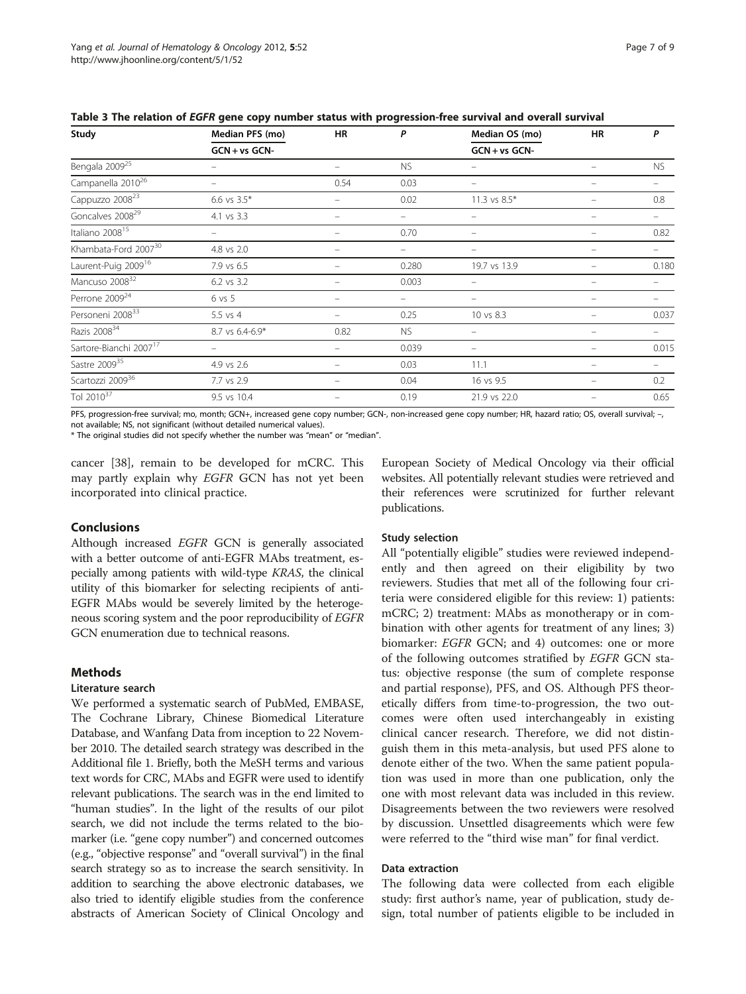| Study                              | Median PFS (mo)   | HR       | P                 | Median OS (mo)   | HR | P         |
|------------------------------------|-------------------|----------|-------------------|------------------|----|-----------|
|                                    | $GCN + vs GCN -$  |          |                   | $GCN + vs GCN -$ |    |           |
| Bengala 2009 <sup>25</sup>         |                   |          | <b>NS</b>         |                  |    | <b>NS</b> |
| Campanella 2010 <sup>26</sup>      |                   | 0.54     | 0.03              | -                |    |           |
| Cappuzzo 2008 <sup>23</sup>        | 6.6 vs $3.5*$     | -        | 0.02              | 11.3 vs $8.5*$   |    | 0.8       |
| Goncalves 2008 <sup>29</sup>       | 4.1 vs 3.3        | $\equiv$ | -                 | $\equiv$         |    | -         |
| Italiano 2008 <sup>15</sup>        |                   |          | 0.70              |                  |    | 0.82      |
| Khambata-Ford 2007 <sup>30</sup>   | 4.8 vs 2.0        |          |                   |                  |    |           |
| Laurent-Puig 2009 <sup>16</sup>    | 7.9 vs 6.5        |          | 0.280             | 19.7 vs 13.9     |    | 0.180     |
| Mancuso 2008 <sup>32</sup>         | 6.2 vs 3.2        | -        | 0.003             |                  |    |           |
| Perrone 2009 <sup>24</sup>         | $6 \text{ vs } 5$ | $\equiv$ | $\qquad \qquad -$ | -                |    |           |
| Personeni 2008 <sup>33</sup>       | $5.5$ vs $4$      |          | 0.25              | 10 vs 8.3        |    | 0.037     |
| Razis 2008 <sup>34</sup>           | 8.7 vs 6.4-6.9*   | 0.82     | <b>NS</b>         |                  |    |           |
| Sartore-Bianchi 2007 <sup>17</sup> |                   |          | 0.039             |                  |    | 0.015     |
| Sastre 2009 <sup>35</sup>          | 4.9 vs 2.6        | —        | 0.03              | 11.1             |    |           |
| Scartozzi 2009 <sup>36</sup>       | 7.7 vs 2.9        | $\equiv$ | 0.04              | 16 vs 9.5        |    | 0.2       |
| Tol 2010 <sup>37</sup>             | 9.5 vs 10.4       |          | 0.19              | 21.9 vs 22.0     |    | 0.65      |

<span id="page-6-0"></span>Table 3 The relation of EGFR gene copy number status with progression-free survival and overall survival

PFS, progression-free survival; mo, month; GCN+, increased gene copy number; GCN-, non-increased gene copy number; HR, hazard ratio; OS, overall survival; -, not available; NS, not significant (without detailed numerical values).

\* The original studies did not specify whether the number was "mean" or "median".

cancer [[38\]](#page-8-0), remain to be developed for mCRC. This may partly explain why EGFR GCN has not yet been incorporated into clinical practice.

# Conclusions

Although increased EGFR GCN is generally associated with a better outcome of anti-EGFR MAbs treatment, especially among patients with wild-type KRAS, the clinical utility of this biomarker for selecting recipients of anti-EGFR MAbs would be severely limited by the heterogeneous scoring system and the poor reproducibility of EGFR GCN enumeration due to technical reasons.

### Methods

# Literature search

We performed a systematic search of PubMed, EMBASE, The Cochrane Library, Chinese Biomedical Literature Database, and Wanfang Data from inception to 22 November 2010. The detailed search strategy was described in the Additional file [1](#page-7-0). Briefly, both the MeSH terms and various text words for CRC, MAbs and EGFR were used to identify relevant publications. The search was in the end limited to "human studies". In the light of the results of our pilot search, we did not include the terms related to the biomarker (i.e. "gene copy number") and concerned outcomes (e.g., "objective response" and "overall survival") in the final search strategy so as to increase the search sensitivity. In addition to searching the above electronic databases, we also tried to identify eligible studies from the conference abstracts of American Society of Clinical Oncology and

European Society of Medical Oncology via their official websites. All potentially relevant studies were retrieved and their references were scrutinized for further relevant publications.

#### Study selection

All "potentially eligible" studies were reviewed independently and then agreed on their eligibility by two reviewers. Studies that met all of the following four criteria were considered eligible for this review: 1) patients: mCRC; 2) treatment: MAbs as monotherapy or in combination with other agents for treatment of any lines; 3) biomarker: EGFR GCN; and 4) outcomes: one or more of the following outcomes stratified by EGFR GCN status: objective response (the sum of complete response and partial response), PFS, and OS. Although PFS theoretically differs from time-to-progression, the two outcomes were often used interchangeably in existing clinical cancer research. Therefore, we did not distinguish them in this meta-analysis, but used PFS alone to denote either of the two. When the same patient population was used in more than one publication, only the one with most relevant data was included in this review. Disagreements between the two reviewers were resolved by discussion. Unsettled disagreements which were few were referred to the "third wise man" for final verdict.

# Data extraction

The following data were collected from each eligible study: first author's name, year of publication, study design, total number of patients eligible to be included in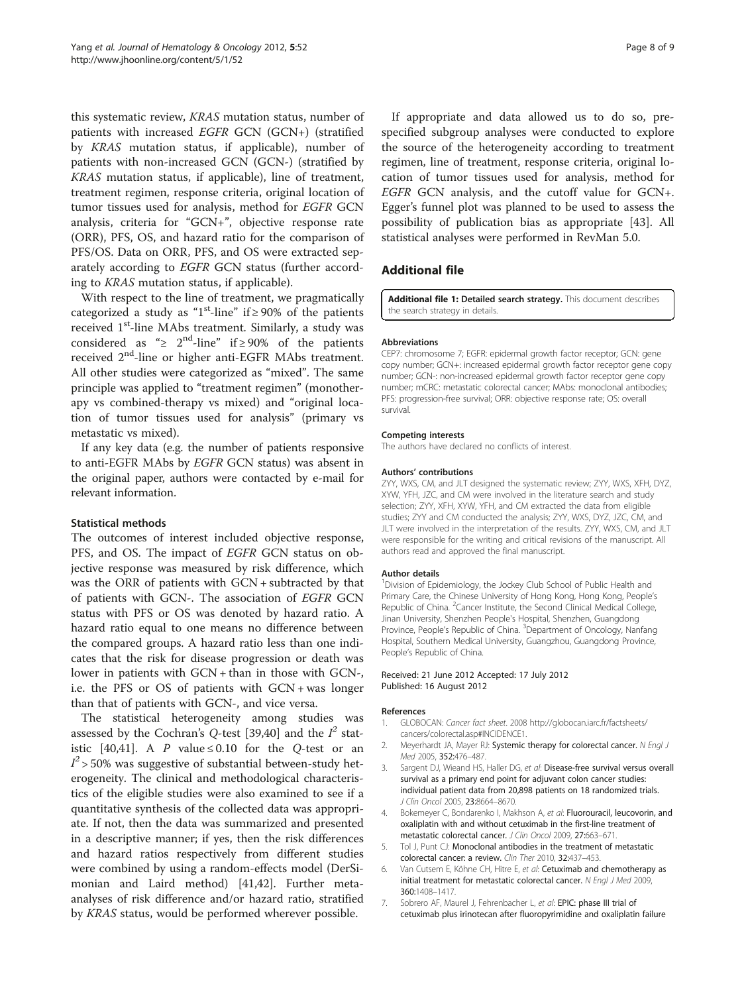<span id="page-7-0"></span>this systematic review, KRAS mutation status, number of patients with increased EGFR GCN (GCN+) (stratified by KRAS mutation status, if applicable), number of patients with non-increased GCN (GCN-) (stratified by KRAS mutation status, if applicable), line of treatment, treatment regimen, response criteria, original location of tumor tissues used for analysis, method for EGFR GCN analysis, criteria for "GCN+", objective response rate (ORR), PFS, OS, and hazard ratio for the comparison of PFS/OS. Data on ORR, PFS, and OS were extracted separately according to EGFR GCN status (further according to KRAS mutation status, if applicable).

With respect to the line of treatment, we pragmatically categorized a study as "1<sup>st</sup>-line" if  $\geq$  90% of the patients received 1<sup>st</sup>-line MAbs treatment. Similarly, a study was considered as " $\geq 2^{nd}$ -line" if  $\geq 90\%$  of the patients received  $2^{nd}$ -line or higher anti-EGFR MAbs treatment. All other studies were categorized as "mixed". The same principle was applied to "treatment regimen" (monotherapy vs combined-therapy vs mixed) and "original location of tumor tissues used for analysis" (primary vs metastatic vs mixed).

If any key data (e.g. the number of patients responsive to anti-EGFR MAbs by EGFR GCN status) was absent in the original paper, authors were contacted by e-mail for relevant information.

### Statistical methods

The outcomes of interest included objective response, PFS, and OS. The impact of EGFR GCN status on objective response was measured by risk difference, which was the ORR of patients with GCN + subtracted by that of patients with GCN-. The association of EGFR GCN status with PFS or OS was denoted by hazard ratio. A hazard ratio equal to one means no difference between the compared groups. A hazard ratio less than one indicates that the risk for disease progression or death was lower in patients with GCN + than in those with GCN-, i.e. the PFS or OS of patients with GCN + was longer than that of patients with GCN-, and vice versa.

The statistical heterogeneity among studies was assessed by the Cochran's Q-test [[39,40\]](#page-8-0) and the  $I^2$  stat-istic [[40,41\]](#page-8-0). A P value  $\leq$  0.10 for the Q-test or an  $I^2$  > 50% was suggestive of substantial between-study heterogeneity. The clinical and methodological characteristics of the eligible studies were also examined to see if a quantitative synthesis of the collected data was appropriate. If not, then the data was summarized and presented in a descriptive manner; if yes, then the risk differences and hazard ratios respectively from different studies were combined by using a random-effects model (DerSimonian and Laird method) [\[41,42](#page-8-0)]. Further metaanalyses of risk difference and/or hazard ratio, stratified by KRAS status, would be performed wherever possible.

If appropriate and data allowed us to do so, prespecified subgroup analyses were conducted to explore the source of the heterogeneity according to treatment regimen, line of treatment, response criteria, original location of tumor tissues used for analysis, method for EGFR GCN analysis, and the cutoff value for GCN+. Egger's funnel plot was planned to be used to assess the possibility of publication bias as appropriate [[43\]](#page-8-0). All statistical analyses were performed in RevMan 5.0.

# Additional file

[Additional file 1:](http://www.biomedcentral.com/content/supplementary/1756-8722-5-52.pdf) Detailed search strategy. This document describes the search strategy in details.

#### Abbreviations

CEP7: chromosome 7; EGFR: epidermal growth factor receptor; GCN: gene copy number; GCN+: increased epidermal growth factor receptor gene copy number; GCN-: non-increased epidermal growth factor receptor gene copy number; mCRC: metastatic colorectal cancer; MAbs: monoclonal antibodies; PFS: progression-free survival; ORR: objective response rate; OS: overall survival.

#### Competing interests

The authors have declared no conflicts of interest.

#### Authors' contributions

ZYY, WXS, CM, and JLT designed the systematic review; ZYY, WXS, XFH, DYZ, XYW, YFH, JZC, and CM were involved in the literature search and study selection; ZYY, XFH, XYW, YFH, and CM extracted the data from eligible studies; ZYY and CM conducted the analysis; ZYY, WXS, DYZ, JZC, CM, and JLT were involved in the interpretation of the results. ZYY, WXS, CM, and JLT were responsible for the writing and critical revisions of the manuscript. All authors read and approved the final manuscript.

#### Author details

<sup>1</sup> Division of Epidemiology, the Jockey Club School of Public Health and Primary Care, the Chinese University of Hong Kong, Hong Kong, People's Republic of China. <sup>2</sup> Cancer Institute, the Second Clinical Medical College Jinan University, Shenzhen People's Hospital, Shenzhen, Guangdong Province, People's Republic of China. <sup>3</sup>Department of Oncology, Nanfang Hospital, Southern Medical University, Guangzhou, Guangdong Province, People's Republic of China.

#### Received: 21 June 2012 Accepted: 17 July 2012 Published: 16 August 2012

#### References

- 1. GLOBOCAN: Cancer fact sheet. 2008 [http://globocan.iarc.fr/factsheets/](http://globocan.iarc.fr/factsheets/cancers/colorectal.asp#INCIDENCE1) [cancers/colorectal.asp#INCIDENCE1.](http://globocan.iarc.fr/factsheets/cancers/colorectal.asp#INCIDENCE1)
- 2. Meyerhardt JA, Mayer RJ: Systemic therapy for colorectal cancer. N Engl J Med 2005, 352:476–487.
- 3. Sargent DJ, Wieand HS, Haller DG, et al: Disease-free survival versus overall survival as a primary end point for adjuvant colon cancer studies: individual patient data from 20,898 patients on 18 randomized trials. J Clin Oncol 2005, 23:8664–8670.
- 4. Bokemeyer C, Bondarenko I, Makhson A, et al: Fluorouracil, leucovorin, and oxaliplatin with and without cetuximab in the first-line treatment of metastatic colorectal cancer. J Clin Oncol 2009, 27:663–671.
- 5. Tol J, Punt CJ: Monoclonal antibodies in the treatment of metastatic colorectal cancer: a review. Clin Ther 2010, 32:437–453.
- 6. Van Cutsem E, Köhne CH, Hitre E, et al: Cetuximab and chemotherapy as initial treatment for metastatic colorectal cancer. N Engl J Med 2009, 360:1408–1417.
- 7. Sobrero AF, Maurel J, Fehrenbacher L, et al: EPIC: phase III trial of cetuximab plus irinotecan after fluoropyrimidine and oxaliplatin failure